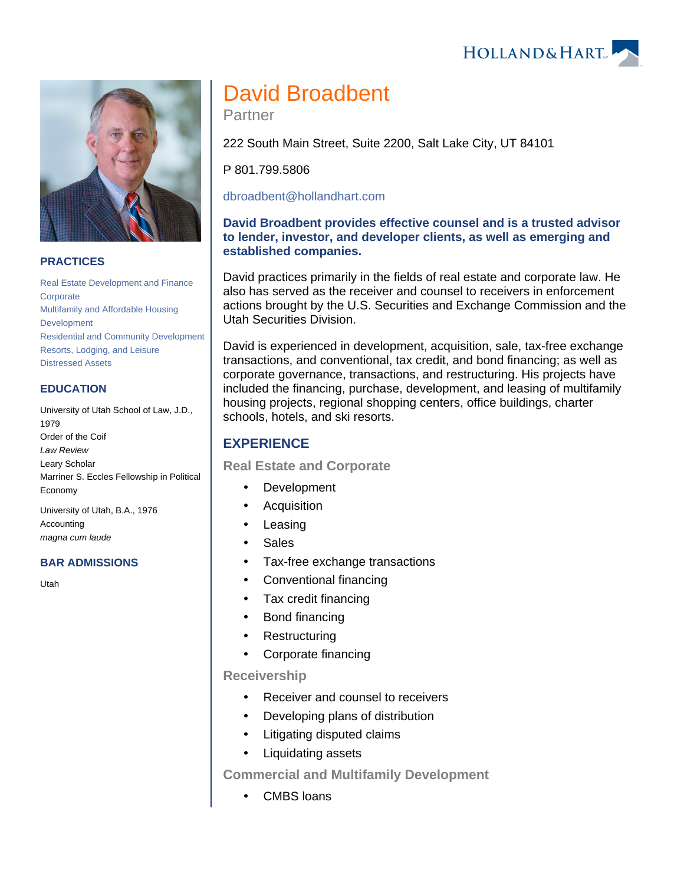



### **PRACTICES**

[Real Estate Development and Finance](https://www.hollandhart.com/19761) **[Corporate](https://www.hollandhart.com/19668)** [Multifamily and Affordable Housing](https://www.hollandhart.com/19702)  [Development](https://www.hollandhart.com/19702) [Residential and Community Development](https://www.hollandhart.com/19695) [Resorts, Lodging, and Leisure](https://www.hollandhart.com/19691) [Distressed Assets](https://www.hollandhart.com/37278)

#### **EDUCATION**

University of Utah School of Law, J.D., 1979 Order of the Coif Law Review Leary Scholar Marriner S. Eccles Fellowship in Political Economy

University of Utah, B.A., 1976 Accounting magna cum laude

#### **BAR ADMISSIONS**

Utah

# David Broadbent

Partner

222 South Main Street, Suite 2200, Salt Lake City, UT 84101

P 801.799.5806

[dbroadbent@hollandhart.com](mailto:dbroadbent@hollandhart.com)

### **David Broadbent provides effective counsel and is a trusted advisor to lender, investor, and developer clients, as well as emerging and established companies.**

David practices primarily in the fields of real estate and corporate law. He also has served as the receiver and counsel to receivers in enforcement actions brought by the U.S. Securities and Exchange Commission and the Utah Securities Division.

David is experienced in development, acquisition, sale, tax-free exchange transactions, and conventional, tax credit, and bond financing; as well as corporate governance, transactions, and restructuring. His projects have included the financing, purchase, development, and leasing of multifamily housing projects, regional shopping centers, office buildings, charter schools, hotels, and ski resorts.

## **EXPERIENCE**

**Real Estate and Corporate**

- Development
- Acquisition
- Leasing
- Sales
- Tax-free exchange transactions
- Conventional financing
- Tax credit financing
- Bond financing
- Restructuring
- Corporate financing

#### **Receivership**

- Receiver and counsel to receivers
- Developing plans of distribution
- Litigating disputed claims
- Liquidating assets

**Commercial and Multifamily Development**

CMBS loans